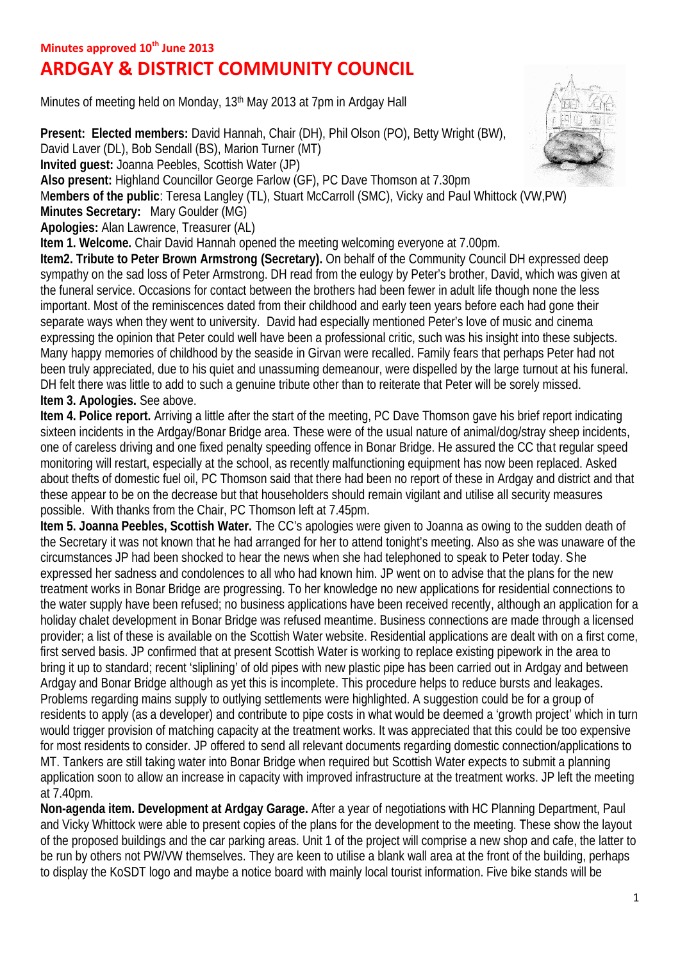## **ARDGAY & DISTRICT COMMUNITY COUNCIL**

Minutes of meeting held on Monday, 13th May 2013 at 7pm in Ardgay Hall

**Present: Elected members:** David Hannah, Chair (DH), Phil Olson (PO), Betty Wright (BW), David Laver (DL), Bob Sendall (BS), Marion Turner (MT)

**Invited guest:** Joanna Peebles, Scottish Water (JP)

**Also present:** Highland Councillor George Farlow (GF), PC Dave Thomson at 7.30pm

M**embers of the public**: Teresa Langley (TL), Stuart McCarroll (SMC), Vicky and Paul Whittock (VW,PW)

**Minutes Secretary:** Mary Goulder (MG)

**Apologies:** Alan Lawrence, Treasurer (AL)

**Item 1. Welcome.** Chair David Hannah opened the meeting welcoming everyone at 7.00pm.

**Item2. Tribute to Peter Brown Armstrong (Secretary).** On behalf of the Community Council DH expressed deep sympathy on the sad loss of Peter Armstrong. DH read from the eulogy by Peter's brother, David, which was given at the funeral service. Occasions for contact between the brothers had been fewer in adult life though none the less important. Most of the reminiscences dated from their childhood and early teen years before each had gone their separate ways when they went to university. David had especially mentioned Peter's love of music and cinema expressing the opinion that Peter could well have been a professional critic, such was his insight into these subjects. Many happy memories of childhood by the seaside in Girvan were recalled. Family fears that perhaps Peter had not been truly appreciated, due to his quiet and unassuming demeanour, were dispelled by the large turnout at his funeral. DH felt there was little to add to such a genuine tribute other than to reiterate that Peter will be sorely missed. **Item 3. Apologies.** See above.

**Item 4. Police report.** Arriving a little after the start of the meeting, PC Dave Thomson gave his brief report indicating sixteen incidents in the Ardgay/Bonar Bridge area. These were of the usual nature of animal/dog/stray sheep incidents, one of careless driving and one fixed penalty speeding offence in Bonar Bridge. He assured the CC that regular speed monitoring will restart, especially at the school, as recently malfunctioning equipment has now been replaced. Asked about thefts of domestic fuel oil, PC Thomson said that there had been no report of these in Ardgay and district and that these appear to be on the decrease but that householders should remain vigilant and utilise all security measures possible. With thanks from the Chair, PC Thomson left at 7.45pm.

**Item 5. Joanna Peebles, Scottish Water.** The CC's apologies were given to Joanna as owing to the sudden death of the Secretary it was not known that he had arranged for her to attend tonight's meeting. Also as she was unaware of the circumstances JP had been shocked to hear the news when she had telephoned to speak to Peter today. She expressed her sadness and condolences to all who had known him. JP went on to advise that the plans for the new treatment works in Bonar Bridge are progressing. To her knowledge no new applications for residential connections to the water supply have been refused; no business applications have been received recently, although an application for a holiday chalet development in Bonar Bridge was refused meantime. Business connections are made through a licensed provider; a list of these is available on the Scottish Water website. Residential applications are dealt with on a first come, first served basis. JP confirmed that at present Scottish Water is working to replace existing pipework in the area to bring it up to standard; recent 'sliplining' of old pipes with new plastic pipe has been carried out in Ardgay and between Ardgay and Bonar Bridge although as yet this is incomplete. This procedure helps to reduce bursts and leakages. Problems regarding mains supply to outlying settlements were highlighted. A suggestion could be for a group of residents to apply (as a developer) and contribute to pipe costs in what would be deemed a 'growth project' which in turn would trigger provision of matching capacity at the treatment works. It was appreciated that this could be too expensive for most residents to consider. JP offered to send all relevant documents regarding domestic connection/applications to MT. Tankers are still taking water into Bonar Bridge when required but Scottish Water expects to submit a planning application soon to allow an increase in capacity with improved infrastructure at the treatment works. JP left the meeting at 7.40pm.

**Non-agenda item. Development at Ardgay Garage.** After a year of negotiations with HC Planning Department, Paul and Vicky Whittock were able to present copies of the plans for the development to the meeting. These show the layout of the proposed buildings and the car parking areas. Unit 1 of the project will comprise a new shop and cafe, the latter to be run by others not PW/VW themselves. They are keen to utilise a blank wall area at the front of the building, perhaps to display the KoSDT logo and maybe a notice board with mainly local tourist information. Five bike stands will be

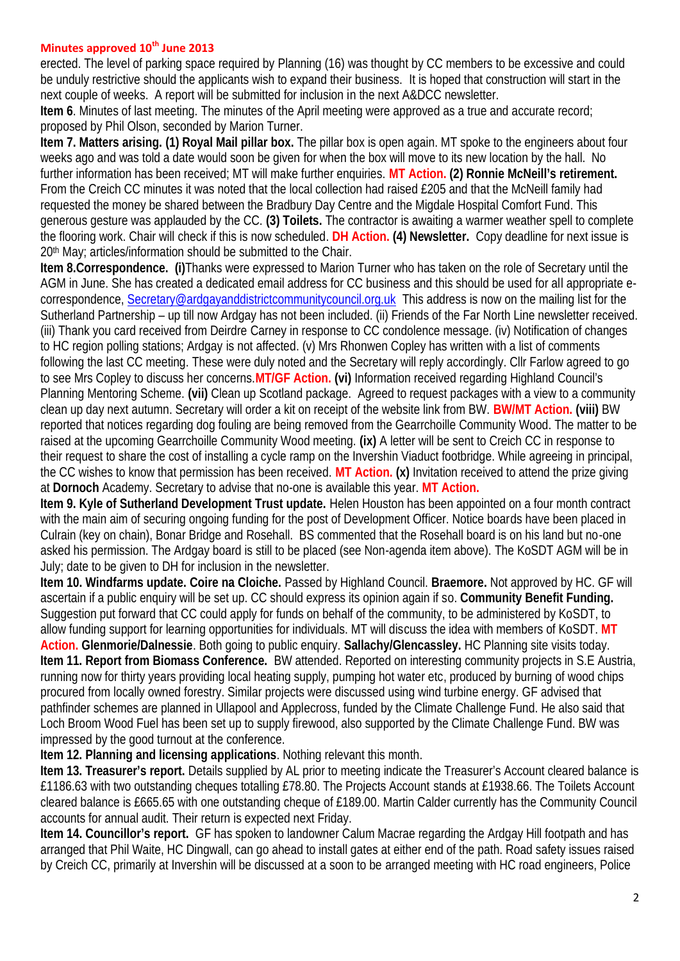## **Minutes approved 10th June 2013**

erected. The level of parking space required by Planning (16) was thought by CC members to be excessive and could be unduly restrictive should the applicants wish to expand their business. It is hoped that construction will start in the next couple of weeks. A report will be submitted for inclusion in the next A&DCC newsletter.

**Item 6**. Minutes of last meeting. The minutes of the April meeting were approved as a true and accurate record; proposed by Phil Olson, seconded by Marion Turner.

**Item 7. Matters arising. (1) Royal Mail pillar box.** The pillar box is open again. MT spoke to the engineers about four weeks ago and was told a date would soon be given for when the box will move to its new location by the hall. No further information has been received; MT will make further enquiries. **MT Action. (2) Ronnie McNeill's retirement.** From the Creich CC minutes it was noted that the local collection had raised £205 and that the McNeill family had requested the money be shared between the Bradbury Day Centre and the Migdale Hospital Comfort Fund. This generous gesture was applauded by the CC. **(3) Toilets.** The contractor is awaiting a warmer weather spell to complete the flooring work. Chair will check if this is now scheduled. **DH Action. (4) Newsletter.** Copy deadline for next issue is 20th May; articles/information should be submitted to the Chair.

**Item 8.Correspondence. (i)**Thanks were expressed to Marion Turner who has taken on the role of Secretary until the AGM in June. She has created a dedicated email address for CC business and this should be used for all appropriate e correspondence, Secretary@ardgayanddistrictcommunitycouncil.org.uk This address is now on the mailing list for the Sutherland Partnership – up till now Ardgay has not been included. (ii) Friends of the Far North Line newsletter received. (iii) Thank you card received from Deirdre Carney in response to CC condolence message. (iv) Notification of changes to HC region polling stations; Ardgay is not affected. (v) Mrs Rhonwen Copley has written with a list of comments following the last CC meeting. These were duly noted and the Secretary will reply accordingly. Cllr Farlow agreed to go to see Mrs Copley to discuss her concerns.**MT/GF Action. (vi)** Information received regarding Highland Council's Planning Mentoring Scheme. **(vii)** Clean up Scotland package. Agreed to request packages with a view to a community clean up day next autumn. Secretary will order a kit on receipt of the website link from BW. **BW/MT Action. (viii)** BW reported that notices regarding dog fouling are being removed from the Gearrchoille Community Wood. The matter to be raised at the upcoming Gearrchoille Community Wood meeting. **(ix)** A letter will be sent to Creich CC in response to their request to share the cost of installing a cycle ramp on the Invershin Viaduct footbridge. While agreeing in principal, the CC wishes to know that permission has been received. **MT Action. (x)** Invitation received to attend the prize giving at **Dornoch** Academy. Secretary to advise that no-one is available this year. **MT Action.**

**Item 9. Kyle of Sutherland Development Trust update.** Helen Houston has been appointed on a four month contract with the main aim of securing ongoing funding for the post of Development Officer. Notice boards have been placed in Culrain (key on chain), Bonar Bridge and Rosehall. BS commented that the Rosehall board is on his land but no-one asked his permission. The Ardgay board is still to be placed (see Non-agenda item above). The KoSDT AGM will be in July; date to be given to DH for inclusion in the newsletter.

**Item 10. Windfarms update. Coire na Cloiche.** Passed by Highland Council. **Braemore.** Not approved by HC. GF will ascertain if a public enquiry will be set up. CC should express its opinion again if so. **Community Benefit Funding.** Suggestion put forward that CC could apply for funds on behalf of the community, to be administered by KoSDT, to allow funding support for learning opportunities for individuals. MT will discuss the idea with members of KoSDT. **MT Action. Glenmorie/Dalnessie**. Both going to public enquiry. **Sallachy/Glencassley.** HC Planning site visits today. **Item 11. Report from Biomass Conference.** BW attended. Reported on interesting community projects in S.E Austria, running now for thirty years providing local heating supply, pumping hot water etc, produced by burning of wood chips procured from locally owned forestry. Similar projects were discussed using wind turbine energy. GF advised that pathfinder schemes are planned in Ullapool and Applecross, funded by the Climate Challenge Fund. He also said that Loch Broom Wood Fuel has been set up to supply firewood, also supported by the Climate Challenge Fund. BW was impressed by the good turnout at the conference.

**Item 12. Planning and licensing applications**. Nothing relevant this month.

**Item 13. Treasurer's report.** Details supplied by AL prior to meeting indicate the Treasurer's Account cleared balance is £1186.63 with two outstanding cheques totalling £78.80. The Projects Account stands at £1938.66. The Toilets Account cleared balance is £665.65 with one outstanding cheque of £189.00. Martin Calder currently has the Community Council accounts for annual audit. Their return is expected next Friday.

**Item 14. Councillor's report.** GF has spoken to landowner Calum Macrae regarding the Ardgay Hill footpath and has arranged that Phil Waite, HC Dingwall, can go ahead to install gates at either end of the path. Road safety issues raised by Creich CC, primarily at Invershin will be discussed at a soon to be arranged meeting with HC road engineers, Police